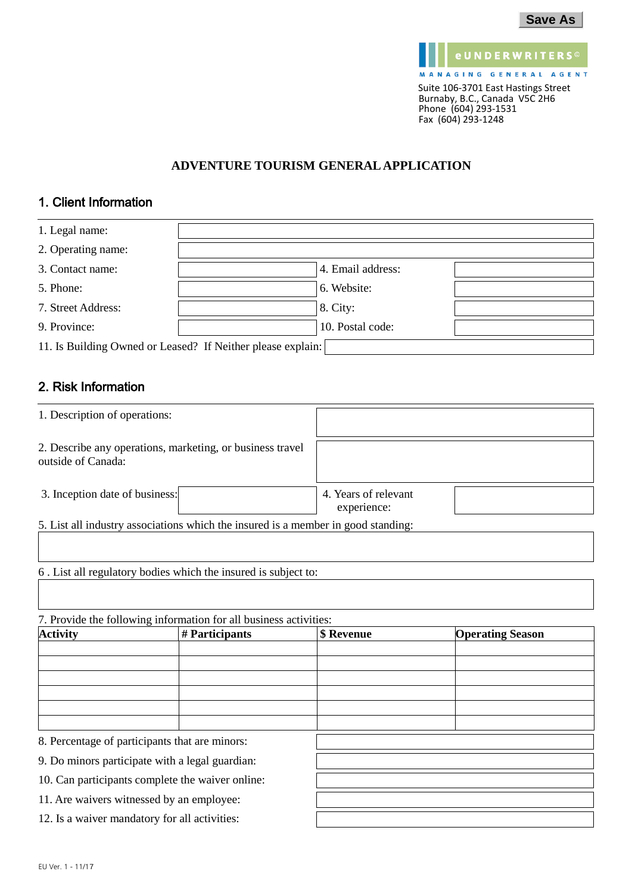| <b>Save As</b> |  |
|----------------|--|
|----------------|--|



### **ADVENTURE TOURISM GENERAL APPLICATION**

# 1. Client Information

| 1. Legal name:     |                                                             |                   |  |
|--------------------|-------------------------------------------------------------|-------------------|--|
| 2. Operating name: |                                                             |                   |  |
| 3. Contact name:   |                                                             | 4. Email address: |  |
| 5. Phone:          |                                                             | 6. Website:       |  |
| 7. Street Address: |                                                             | 8. City:          |  |
| 9. Province:       |                                                             | 10. Postal code:  |  |
|                    | 11. Is Building Owned or Leased? If Neither please explain: |                   |  |

## 2. Risk Information

| 1. Description of operations:                                                     |  |                                     |  |
|-----------------------------------------------------------------------------------|--|-------------------------------------|--|
| 2. Describe any operations, marketing, or business travel<br>outside of Canada:   |  |                                     |  |
| 3. Inception date of business:                                                    |  | 4. Years of relevant<br>experience: |  |
| 5. List all industry associations which the insured is a member in good standing: |  |                                     |  |
| 6. List all regulatory bodies which the insured is subject to:                    |  |                                     |  |
|                                                                                   |  |                                     |  |

7. Provide the following information for all business activities:

| <b>Activity</b>                               | # Participants                                   | \$ Revenue | <b>Operating Season</b> |
|-----------------------------------------------|--------------------------------------------------|------------|-------------------------|
|                                               |                                                  |            |                         |
|                                               |                                                  |            |                         |
|                                               |                                                  |            |                         |
|                                               |                                                  |            |                         |
|                                               |                                                  |            |                         |
|                                               |                                                  |            |                         |
|                                               | 8. Percentage of participants that are minors:   |            |                         |
|                                               | 9. Do minors participate with a legal guardian:  |            |                         |
|                                               | 10. Can participants complete the waiver online: |            |                         |
|                                               | 11. Are waivers witnessed by an employee:        |            |                         |
| 12. Is a waiver mandatory for all activities: |                                                  |            |                         |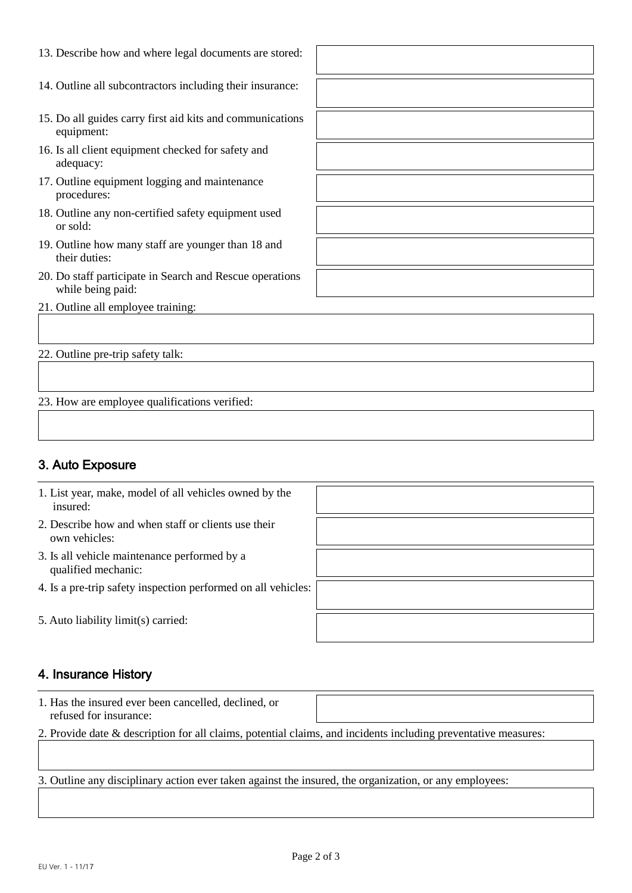| 13. Describe how and where legal documents are stored:    |  |
|-----------------------------------------------------------|--|
|                                                           |  |
| 14. Outline all subcontractors including their insurance: |  |
|                                                           |  |
| 15. Do all guides carry first aid kits and communications |  |
| equipment:                                                |  |
|                                                           |  |
| 16. Is all client equipment checked for safety and        |  |
| adequacy:                                                 |  |
| 17. Outline equipment logging and maintenance             |  |
| procedures:                                               |  |
| 18. Outline any non-certified safety equipment used       |  |
| or sold:                                                  |  |
| 19. Outline how many staff are younger than 18 and        |  |
| their duties:                                             |  |
| 20. Do staff participate in Search and Rescue operations  |  |
| while being paid:                                         |  |
| 21. Outline all employee training:                        |  |
|                                                           |  |
|                                                           |  |
|                                                           |  |
| 22. Outline pre-trip safety talk:                         |  |
|                                                           |  |
|                                                           |  |

23. How are employee qualifications verified:

# 3. Auto Exposure

# 4. Insurance History

| 1. Has the insured ever been cancelled, declined, or |  |
|------------------------------------------------------|--|
| refused for insurance:                               |  |

2. Provide date & description for all claims, potential claims, and incidents including preventative measures:

3. Outline any disciplinary action ever taken against the insured, the organization, or any employees: